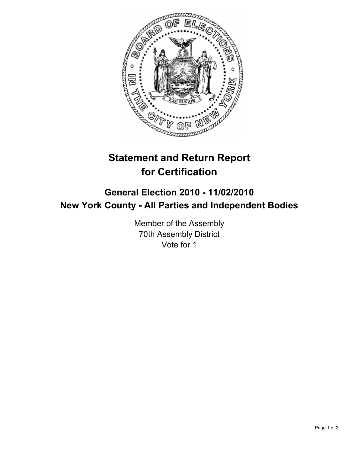

## **Statement and Return Report for Certification**

## **General Election 2010 - 11/02/2010 New York County - All Parties and Independent Bodies**

Member of the Assembly 70th Assembly District Vote for 1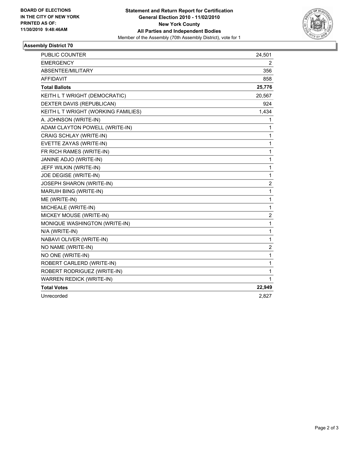

## **Assembly District 70**

| PUBLIC COUNTER                      | 24,501       |
|-------------------------------------|--------------|
| <b>EMERGENCY</b>                    | 2            |
| ABSENTEE/MILITARY                   | 356          |
| <b>AFFIDAVIT</b>                    | 858          |
| <b>Total Ballots</b>                | 25,776       |
| KEITH L T WRIGHT (DEMOCRATIC)       | 20,567       |
| DEXTER DAVIS (REPUBLICAN)           | 924          |
| KEITH L T WRIGHT (WORKING FAMILIES) | 1,434        |
| A. JOHNSON (WRITE-IN)               | 1            |
| ADAM CLAYTON POWELL (WRITE-IN)      | 1            |
| CRAIG SCHLAY (WRITE-IN)             | 1            |
| EVETTE ZAYAS (WRITE-IN)             | 1            |
| FR RICH RAMES (WRITE-IN)            | 1            |
| JANINE ADJO (WRITE-IN)              | 1            |
| JEFF WILKIN (WRITE-IN)              | 1            |
| JOE DEGISE (WRITE-IN)               | 1            |
| JOSEPH SHARON (WRITE-IN)            | 2            |
| MARUIH BING (WRITE-IN)              | 1            |
| ME (WRITE-IN)                       | 1            |
| MICHEALE (WRITE-IN)                 | 1            |
| MICKEY MOUSE (WRITE-IN)             | 2            |
| MONIQUE WASHINGTON (WRITE-IN)       | 1            |
| N/A (WRITE-IN)                      | 1            |
| NABAVI OLIVER (WRITE-IN)            | $\mathbf{1}$ |
| NO NAME (WRITE-IN)                  | 2            |
| NO ONE (WRITE-IN)                   | 1            |
| ROBERT CARLERD (WRITE-IN)           | 1            |
| ROBERT RODRIGUEZ (WRITE-IN)         | 1            |
| WARREN REDICK (WRITE-IN)            | 1            |
| <b>Total Votes</b>                  | 22,949       |
| Unrecorded                          | 2,827        |